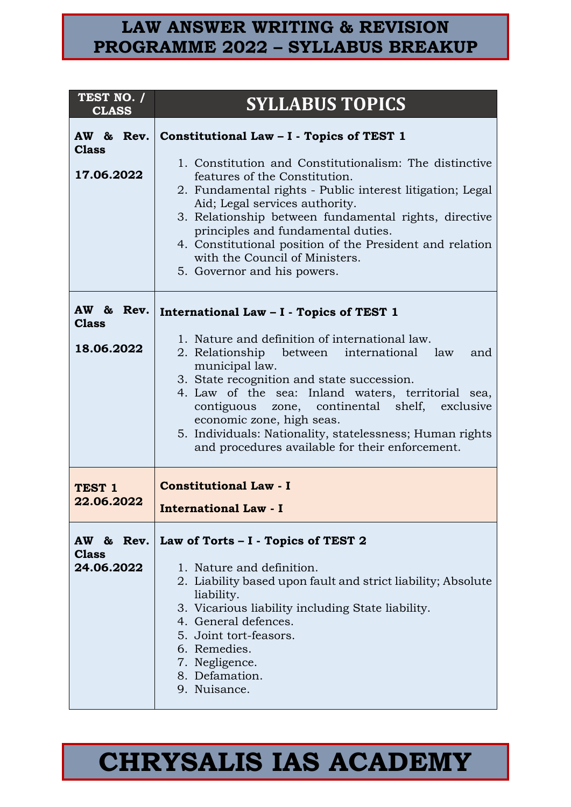| TEST NO. /<br><b>CLASS</b>      | <b>SYLLABUS TOPICS</b>                                                                                                                                                                                                                                                                                                                                                                                                |
|---------------------------------|-----------------------------------------------------------------------------------------------------------------------------------------------------------------------------------------------------------------------------------------------------------------------------------------------------------------------------------------------------------------------------------------------------------------------|
| AW & Rev.<br><b>Class</b>       | Constitutional Law - I - Topics of TEST 1                                                                                                                                                                                                                                                                                                                                                                             |
| 17.06.2022                      | 1. Constitution and Constitutionalism: The distinctive<br>features of the Constitution.<br>2. Fundamental rights - Public interest litigation; Legal<br>Aid; Legal services authority.<br>3. Relationship between fundamental rights, directive<br>principles and fundamental duties.<br>4. Constitutional position of the President and relation<br>with the Council of Ministers.<br>5. Governor and his powers.    |
| AW & Rev.<br><b>Class</b>       | International Law - I - Topics of TEST 1                                                                                                                                                                                                                                                                                                                                                                              |
| 18.06.2022                      | 1. Nature and definition of international law.<br>2. Relationship between international law<br>and<br>municipal law.<br>3. State recognition and state succession.<br>4. Law of the sea: Inland waters, territorial sea,<br>contiguous zone, continental shelf, exclusive<br>economic zone, high seas.<br>5. Individuals: Nationality, statelessness; Human rights<br>and procedures available for their enforcement. |
| TEST <sub>1</sub><br>22.06.2022 | <b>Constitutional Law - I</b><br><b>International Law - I</b>                                                                                                                                                                                                                                                                                                                                                         |
| <b>Class</b><br>24.06.2022      | AW & Rev.   Law of Torts $-1$ - Topics of TEST 2<br>1. Nature and definition.<br>2. Liability based upon fault and strict liability; Absolute<br>liability.<br>3. Vicarious liability including State liability.<br>4. General defences.<br>5. Joint tort-feasors.<br>6. Remedies.<br>7. Negligence.<br>8. Defamation.<br>9. Nuisance.                                                                                |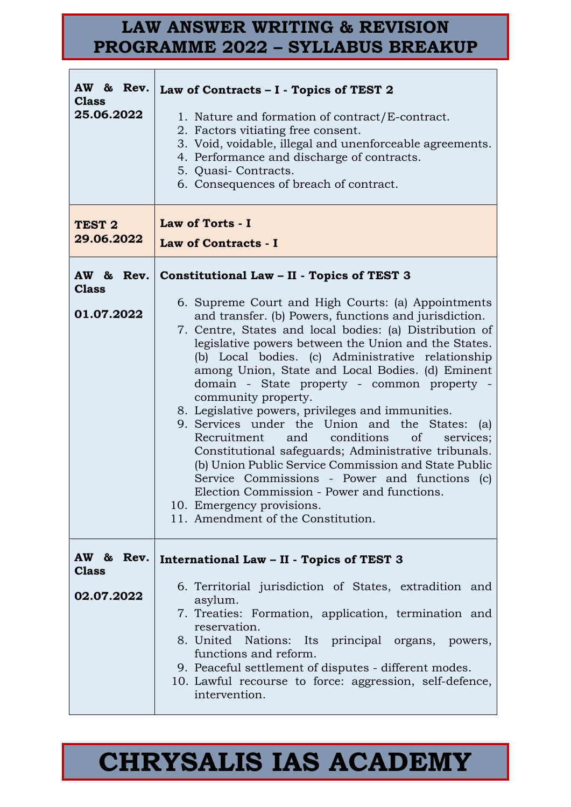| <b>Class</b><br>25.06.2022              | AW & Rev. Law of Contracts - I - Topics of TEST 2<br>1. Nature and formation of contract/E-contract.<br>2. Factors vitiating free consent.<br>3. Void, voidable, illegal and unenforceable agreements.<br>4. Performance and discharge of contracts.<br>5. Quasi-Contracts.<br>6. Consequences of breach of contract.                                                                                                                                                                                                                                                                                                                                                                                                                                                                                                                                                                                                            |
|-----------------------------------------|----------------------------------------------------------------------------------------------------------------------------------------------------------------------------------------------------------------------------------------------------------------------------------------------------------------------------------------------------------------------------------------------------------------------------------------------------------------------------------------------------------------------------------------------------------------------------------------------------------------------------------------------------------------------------------------------------------------------------------------------------------------------------------------------------------------------------------------------------------------------------------------------------------------------------------|
| TEST <sub>2</sub><br>29.06.2022         | Law of Torts - I<br><b>Law of Contracts - I</b>                                                                                                                                                                                                                                                                                                                                                                                                                                                                                                                                                                                                                                                                                                                                                                                                                                                                                  |
| <b>Class</b><br>01.07.2022              | AW & Rev. Constitutional Law $-$ II - Topics of TEST 3<br>6. Supreme Court and High Courts: (a) Appointments<br>and transfer. (b) Powers, functions and jurisdiction.<br>7. Centre, States and local bodies: (a) Distribution of<br>legislative powers between the Union and the States.<br>(b) Local bodies. (c) Administrative relationship<br>among Union, State and Local Bodies. (d) Eminent<br>domain - State property - common property -<br>community property.<br>8. Legislative powers, privileges and immunities.<br>9. Services under the Union and the States: (a)<br>conditions<br>Recruitment and<br><sub>of</sub><br>services;<br>Constitutional safeguards; Administrative tribunals.<br>(b) Union Public Service Commission and State Public<br>Service Commissions - Power and functions (c)<br>Election Commission - Power and functions.<br>10. Emergency provisions.<br>11. Amendment of the Constitution. |
| AW & Rev.<br><b>Class</b><br>02.07.2022 | International Law - II - Topics of TEST 3<br>6. Territorial jurisdiction of States, extradition and<br>asylum.<br>7. Treaties: Formation, application, termination and<br>reservation.<br>8. United Nations: Its principal organs, powers,<br>functions and reform.<br>9. Peaceful settlement of disputes - different modes.<br>10. Lawful recourse to force: aggression, self-defence,<br>intervention.                                                                                                                                                                                                                                                                                                                                                                                                                                                                                                                         |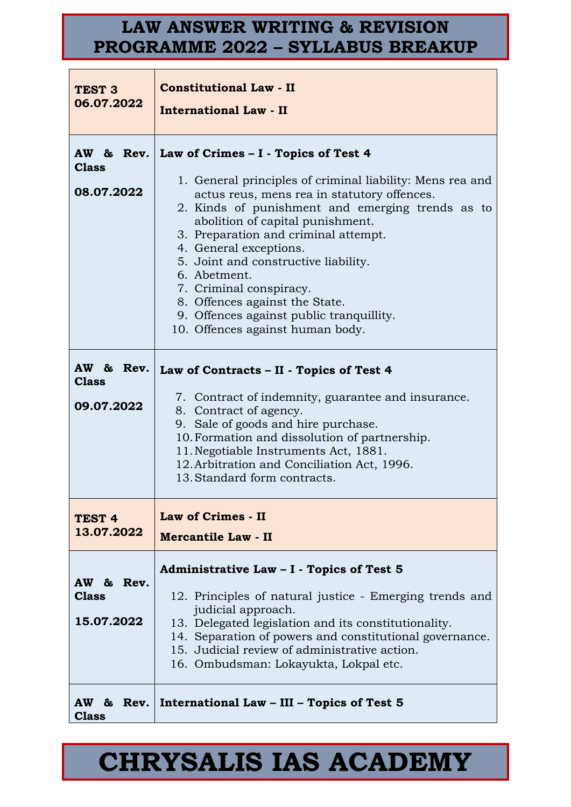| TEST <sub>3</sub><br>06.07.2022         | <b>Constitutional Law - II</b><br><b>International Law - II</b>                                                                                                                                                                                                                                                                                                                                                                                                                                                             |
|-----------------------------------------|-----------------------------------------------------------------------------------------------------------------------------------------------------------------------------------------------------------------------------------------------------------------------------------------------------------------------------------------------------------------------------------------------------------------------------------------------------------------------------------------------------------------------------|
| <b>Class</b><br>08.07.2022              | AW & Rev.   Law of Crimes - I - Topics of Test 4<br>1. General principles of criminal liability: Mens rea and<br>actus reus, mens rea in statutory offences.<br>2. Kinds of punishment and emerging trends as to<br>abolition of capital punishment.<br>3. Preparation and criminal attempt.<br>4. General exceptions.<br>5. Joint and constructive liability.<br>6. Abetment.<br>7. Criminal conspiracy.<br>8. Offences against the State.<br>9. Offences against public tranquillity.<br>10. Offences against human body. |
| AW & Rev.<br><b>Class</b><br>09.07.2022 | Law of Contracts - II - Topics of Test 4<br>7. Contract of indemnity, guarantee and insurance.<br>8. Contract of agency.<br>9. Sale of goods and hire purchase.<br>10. Formation and dissolution of partnership.<br>11. Negotiable Instruments Act, 1881.<br>12. Arbitration and Conciliation Act, 1996.<br>13. Standard form contracts.                                                                                                                                                                                    |
| TEST <sub>4</sub><br>13.07.2022         | Law of Crimes - II<br><b>Mercantile Law - II</b>                                                                                                                                                                                                                                                                                                                                                                                                                                                                            |
| AW & Rev.<br><b>Class</b><br>15.07.2022 | Administrative Law - I - Topics of Test 5<br>12. Principles of natural justice - Emerging trends and<br>judicial approach.<br>13. Delegated legislation and its constitutionality.<br>14. Separation of powers and constitutional governance.<br>15. Judicial review of administrative action.<br>16. Ombudsman: Lokayukta, Lokpal etc.                                                                                                                                                                                     |
| <b>Class</b>                            | AW & Rev.   International Law – III – Topics of Test 5                                                                                                                                                                                                                                                                                                                                                                                                                                                                      |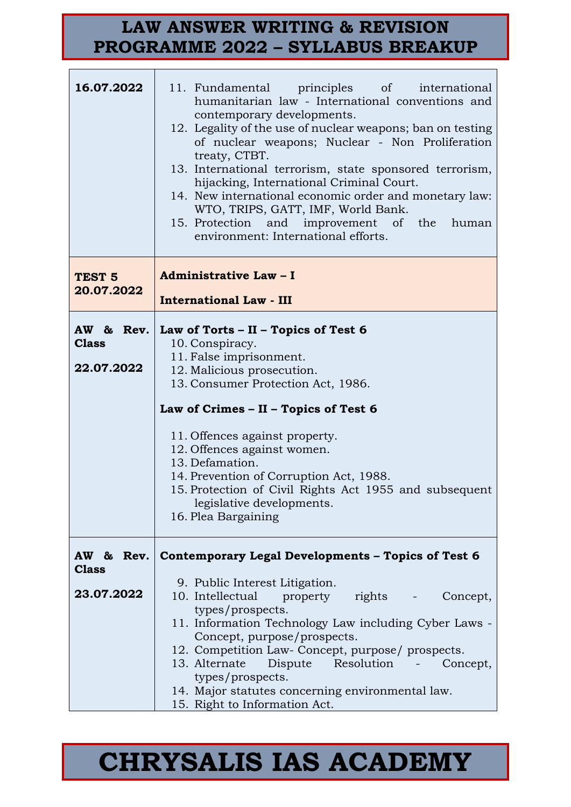| 16.07.2022                              | 11. Fundamental principles of international<br>humanitarian law - International conventions and<br>contemporary developments.<br>12. Legality of the use of nuclear weapons; ban on testing<br>of nuclear weapons; Nuclear - Non Proliferation<br>treaty, CTBT.<br>13. International terrorism, state sponsored terrorism,<br>hijacking, International Criminal Court.<br>14. New international economic order and monetary law:<br>WTO, TRIPS, GATT, IMF, World Bank.<br>15. Protection and improvement of the<br>human<br>environment: International efforts. |
|-----------------------------------------|-----------------------------------------------------------------------------------------------------------------------------------------------------------------------------------------------------------------------------------------------------------------------------------------------------------------------------------------------------------------------------------------------------------------------------------------------------------------------------------------------------------------------------------------------------------------|
| TEST <sub>5</sub><br>20.07.2022         | Administrative Law - I<br><b>International Law - III</b>                                                                                                                                                                                                                                                                                                                                                                                                                                                                                                        |
| AW & Rev.<br><b>Class</b><br>22.07.2022 | Law of Torts - II - Topics of Test 6<br>10. Conspiracy.<br>11. False imprisonment.<br>12. Malicious prosecution.<br>13. Consumer Protection Act, 1986.<br>Law of Crimes - II - Topics of Test 6<br>11. Offences against property.<br>12. Offences against women.<br>13. Defamation.<br>14. Prevention of Corruption Act, 1988.<br>15. Protection of Civil Rights Act 1955 and subsequent<br>legislative developments.<br>16. Plea Bargaining                                                                                                                    |
| AW & Rev.<br><b>Class</b><br>23.07.2022 | Contemporary Legal Developments - Topics of Test 6<br>9. Public Interest Litigation.<br>10. Intellectual property rights<br>Concept,<br>types/prospects.<br>11. Information Technology Law including Cyber Laws -<br>Concept, purpose/prospects.<br>12. Competition Law- Concept, purpose/ prospects.<br>13. Alternate<br>Resolution<br>Dispute<br>Concept,<br>types/prospects.<br>14. Major statutes concerning environmental law.<br>15. Right to Information Act.                                                                                            |